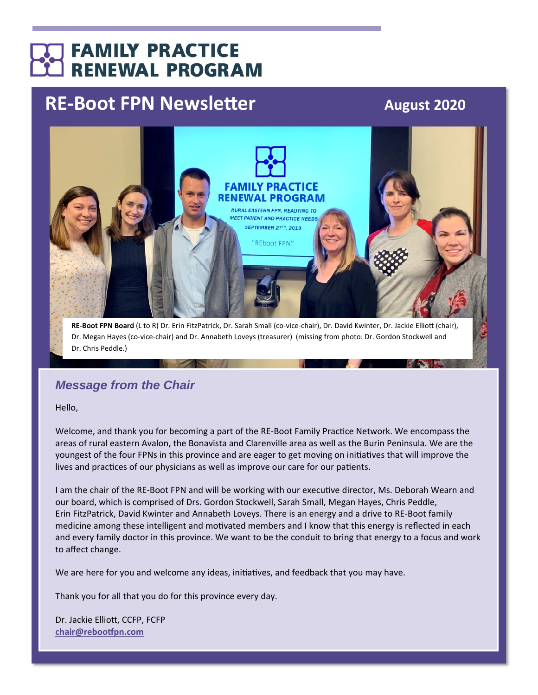# **FAMILY PRACTICE RENEWAL PROGRAM**

# **RE-Boot FPN Newsletter August 2020**



Dr. Megan Hayes (co‐vice‐chair) and Dr. Annabeth Loveys (treasurer) (missing from photo: Dr. Gordon Stockwell and Dr. Chris Peddle.)

## *Message from the Chair*

Hello,

Welcome, and thank you for becoming a part of the RE-Boot Family Practice Network. We encompass the areas of rural eastern Avalon, the Bonavista and Clarenville area as well as the Burin Peninsula. We are the youngest of the four FPNs in this province and are eager to get moving on initiatives that will improve the lives and practices of our physicians as well as improve our care for our patients.

I am the chair of the RE-Boot FPN and will be working with our executive director, Ms. Deborah Wearn and our board, which is comprised of Drs. Gordon Stockwell, Sarah Small, Megan Hayes, Chris Peddle, Erin FitzPatrick, David Kwinter and Annabeth Loveys. There is an energy and a drive to RE‐Boot family medicine among these intelligent and motivated members and I know that this energy is reflected in each and every family doctor in this province. We want to be the conduit to bring that energy to a focus and work to affect change.

We are here for you and welcome any ideas, initiatives, and feedback that you may have.

Thank you for all that you do for this province every day.

Dr. Jackie EllioƩ, CCFP, FCFP chair@rebootfpn.com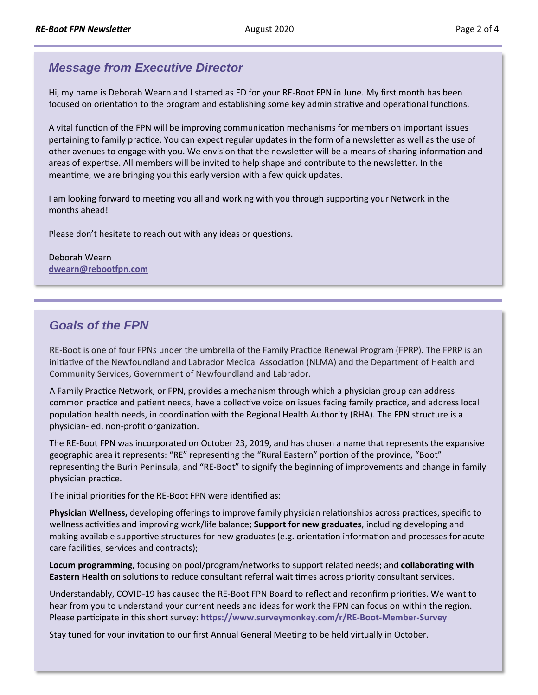### *Message from Executive Director*

Hi, my name is Deborah Wearn and I started as ED for your RE‐Boot FPN in June. My first month has been focused on orientation to the program and establishing some key administrative and operational functions.

A vital function of the FPN will be improving communication mechanisms for members on important issues pertaining to family practice. You can expect regular updates in the form of a newsletter as well as the use of other avenues to engage with you. We envision that the newsletter will be a means of sharing information and areas of expertise. All members will be invited to help shape and contribute to the newsletter. In the meantime, we are bringing you this early version with a few quick updates.

I am looking forward to meeting you all and working with you through supporting your Network in the months ahead!

Please don't hesitate to reach out with any ideas or questions.

Deborah Wearn **dwearn@rebooƞpn.com** 

### *Goals of the FPN*

RE-Boot is one of four FPNs under the umbrella of the Family Practice Renewal Program (FPRP). The FPRP is an initiative of the Newfoundland and Labrador Medical Association (NLMA) and the Department of Health and Community Services, Government of Newfoundland and Labrador.

A Family Practice Network, or FPN, provides a mechanism through which a physician group can address common practice and patient needs, have a collective voice on issues facing family practice, and address local population health needs, in coordination with the Regional Health Authority (RHA). The FPN structure is a physician-led, non-profit organization.

The RE-Boot FPN was incorporated on October 23, 2019, and has chosen a name that represents the expansive geographic area it represents: "RE" representing the "Rural Eastern" portion of the province, "Boot" representing the Burin Peninsula, and "RE-Boot" to signify the beginning of improvements and change in family physician practice.

The initial priorities for the RE-Boot FPN were identified as:

**Physician Wellness,** developing offerings to improve family physician relationships across practices, specific to wellness activities and improving work/life balance; **Support for new graduates**, including developing and making available supportive structures for new graduates (e.g. orientation information and processes for acute care facilities, services and contracts);

Locum programming, focusing on pool/program/networks to support related needs; and collaborating with **Eastern Health** on solutions to reduce consultant referral wait times across priority consultant services.

Understandably, COVID-19 has caused the RE-Boot FPN Board to reflect and reconfirm priorities. We want to hear from you to understand your current needs and ideas for work the FPN can focus on within the region. Please participate in this short survey: https://www.surveymonkey.com/r/RE-Boot-Member-Survey

Stay tuned for your invitation to our first Annual General Meeting to be held virtually in October.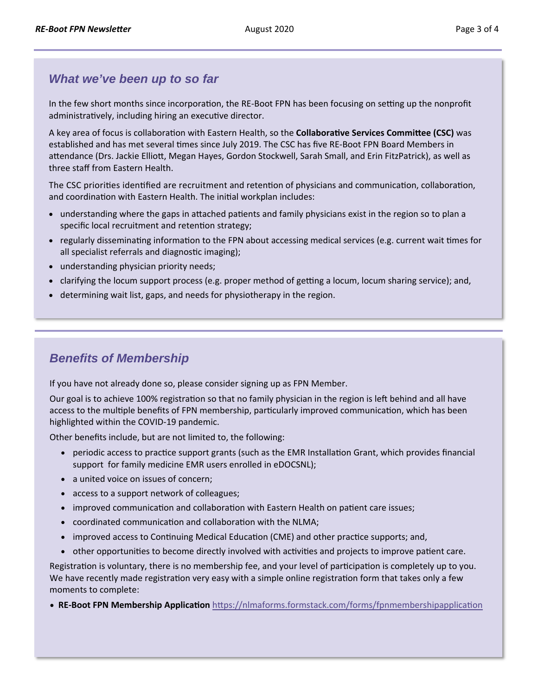### *What we've been up to so far*

In the few short months since incorporation, the RE-Boot FPN has been focusing on setting up the nonprofit administratively, including hiring an executive director.

A key area of focus is collaboration with Eastern Health, so the **Collaborative Services Committee (CSC)** was established and has met several times since July 2019. The CSC has five RE-Boot FPN Board Members in attendance (Drs. Jackie Elliott, Megan Hayes, Gordon Stockwell, Sarah Small, and Erin FitzPatrick), as well as three staff from Eastern Health.

The CSC priorities identified are recruitment and retention of physicians and communication, collaboration, and coordination with Eastern Health. The initial workplan includes:

- understanding where the gaps in attached patients and family physicians exist in the region so to plan a specific local recruitment and retention strategy;
- regularly disseminating information to the FPN about accessing medical services (e.g. current wait times for all specialist referrals and diagnostic imaging);
- understanding physician priority needs;
- $\bullet$  clarifying the locum support process (e.g. proper method of getting a locum, locum sharing service); and,
- determining wait list, gaps, and needs for physiotherapy in the region.

### *Benefits of Membership*

If you have not already done so, please consider signing up as FPN Member.

Our goal is to achieve 100% registration so that no family physician in the region is left behind and all have access to the multiple benefits of FPN membership, particularly improved communication, which has been highlighted within the COVID‐19 pandemic.

Other benefits include, but are not limited to, the following:

- periodic access to practice support grants (such as the EMR Installation Grant, which provides financial support for family medicine EMR users enrolled in eDOCSNL);
- a united voice on issues of concern;
- access to a support network of colleagues;
- improved communication and collaboration with Eastern Health on patient care issues;
- coordinated communication and collaboration with the NLMA;
- improved access to Continuing Medical Education (CME) and other practice supports; and,
- other opportunities to become directly involved with activities and projects to improve patient care.

Registration is voluntary, there is no membership fee, and your level of participation is completely up to you. We have recently made registration very easy with a simple online registration form that takes only a few moments to complete:

**• RE-Boot FPN Membership Application** https://nlmaforms.formstack.com/forms/fpnmembershipapplication